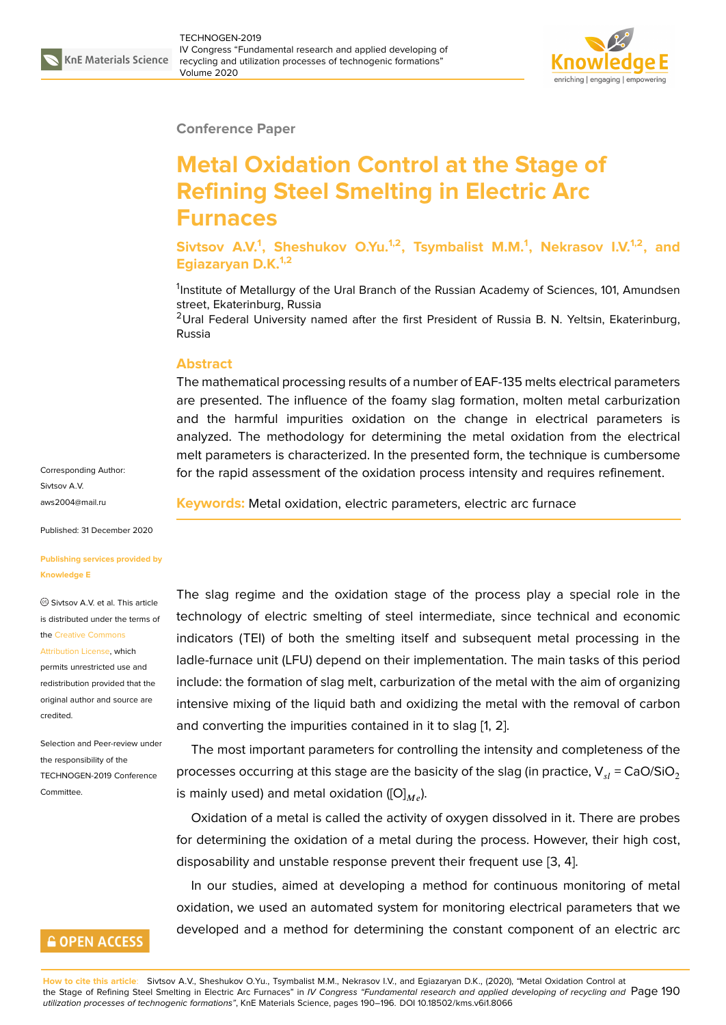

#### **Conference Paper**

# **Metal Oxidation Control at the Stage of Refining Steel Smelting in Electric Arc Furnaces**

**Sivtsov A.V.<sup>1</sup> , Sheshukov O.Yu.1,2, Tsymbalist M.M.<sup>1</sup> , Nekrasov I.V.1,2, and Egiazaryan D.K.1,2**

<sup>1</sup>Institute of Metallurgy of the Ural Branch of the Russian Academy of Sciences, 101, Amundsen street, Ekaterinburg, Russia

<sup>2</sup>Ural Federal University named after the first President of Russia B. N. Yeltsin, Ekaterinburg, Russia

#### **Abstract**

The mathematical processing results of a number of EAF-135 melts electrical parameters are presented. The influence of the foamy slag formation, molten metal carburization and the harmful impurities oxidation on the change in electrical parameters is analyzed. The methodology for determining the metal oxidation from the electrical melt parameters is characterized. In the presented form, the technique is cumbersome for the rapid assessment of the oxidation process intensity and requires refinement.

**Keywords:** Metal oxidation, electric parameters, electric arc furnace

The slag regime and the oxidation stage of the process play a special role in the technology of electric smelting of steel intermediate, since technical and economic indicators (TEI) of both the smelting itself and subsequent metal processing in the ladle-furnace unit (LFU) depend on their implementation. The main tasks of this period include: the formation of slag melt, carburization of the metal with the aim of organizing intensive mixing of the liquid bath and oxidizing the metal with the removal of carbon and converting the impurities contained in it to slag [1, 2].

The most important parameters for controlling the intensity and completeness of the processes occurring at this stage are the basicity of the slag (in practice,  $V_{el} = CaO/SiO<sub>2</sub>$ is mainly used) and metal oxidation ( $[O]_{M_e}$ ).

Oxidation of a metal is called the activity of oxygen dissolved in it. There are probes for determining the oxidation of a metal during the process. However, their high cost, disposability and unstable response prevent their frequent use [3, 4].

In our studies, aimed at developing a method for continuous monitoring of metal oxidation, we used an automated system for monitoring electrical parameters that we developed and a method for determining the constant compo[ne](#page-5-0)[nt](#page-5-1) of an electric arc

Corresponding Author: Sivtsov A.V. aws2004@mail.ru

Published: 31 December 2020

#### **[Publishing service](mailto:aws2004@mail.ru)s provided by Knowledge E**

Sivtsov A.V. et al. This article is distributed under the terms of the Creative Commons

Attribution License, which permits unrestricted use and redistribution provided that the orig[inal author and sou](https://creativecommons.org/licenses/by/4.0/)rce are [credited.](https://creativecommons.org/licenses/by/4.0/)

Selection and Peer-review under the responsibility of the TECHNOGEN-2019 Conference Committee.

### **GOPEN ACCESS**

**How to cite this article**: Sivtsov A.V., Sheshukov O.Yu., Tsymbalist M.M., Nekrasov I.V., and Egiazaryan D.K., (2020), "Metal Oxidation Control at the Stage of Refining Steel Smelting in Electric Arc Furnaces" in *IV Congress "Fundamental research and applied developing of recycling and* Page 190 *utilization processes of technogenic formations"*, KnE Materials Science, pages 190–196. DOI 10.18502/kms.v6i1.8066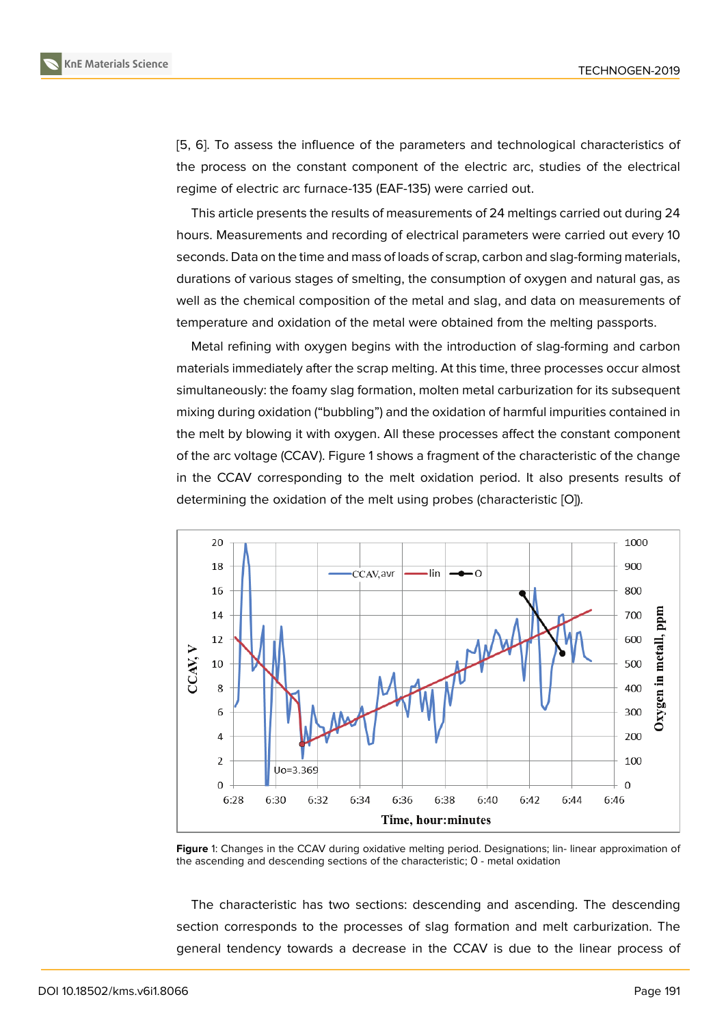[5, 6]. To assess the influence of the parameters and technological characteristics of the process on the constant component of the electric arc, studies of the electrical regime of electric arc furnace-135 (EAF-135) were carried out.

[Th](#page-6-0)is article presents the results of measurements of 24 meltings carried out during 24 hours. Measurements and recording of electrical parameters were carried out every 10 seconds. Data on the time and mass of loads of scrap, carbon and slag-forming materials, durations of various stages of smelting, the consumption of oxygen and natural gas, as well as the chemical composition of the metal and slag, and data on measurements of temperature and oxidation of the metal were obtained from the melting passports.

Metal refining with oxygen begins with the introduction of slag-forming and carbon materials immediately after the scrap melting. At this time, three processes occur almost simultaneously: the foamy slag formation, molten metal carburization for its subsequent mixing during oxidation ("bubbling") and the oxidation of harmful impurities contained in the melt by blowing it with oxygen. All these processes affect the constant component of the arc voltage (CCAV). Figure 1 shows a fragment of the characteristic of the change in the CCAV corresponding to the melt oxidation period. It also presents results of determining the oxidation of the melt using probes (characteristic [O]).



**Figure** 1: Changes in the CCAV during oxidative melting period. Designations; lin- linear approximation of the ascending and descending sections of the characteristic; О - metal oxidation

The characteristic has two sections: descending and ascending. The descending section corresponds to the processes of slag formation and melt carburization. The general tendency towards a decrease in the CCAV is due to the linear process of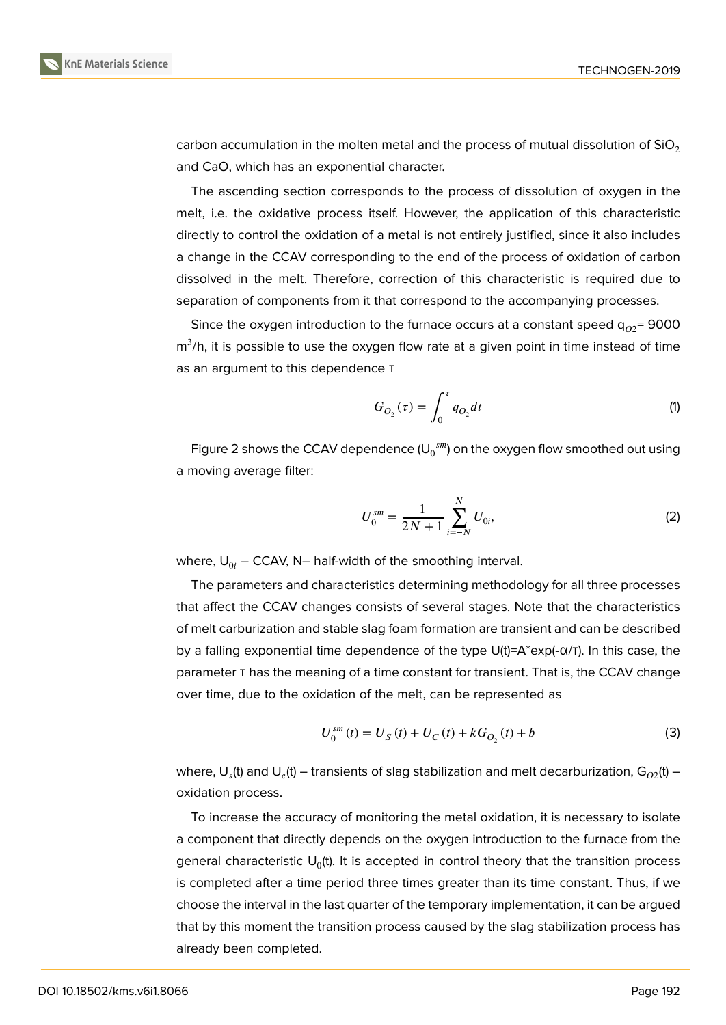carbon accumulation in the molten metal and the process of mutual dissolution of  $SiO<sub>2</sub>$ and CaO, which has an exponential character.

The ascending section corresponds to the process of dissolution of oxygen in the melt, i.e. the oxidative process itself. However, the application of this characteristic directly to control the oxidation of a metal is not entirely justified, since it also includes a change in the CCAV corresponding to the end of the process of oxidation of carbon dissolved in the melt. Therefore, correction of this characteristic is required due to separation of components from it that correspond to the accompanying processes.

Since the oxygen introduction to the furnace occurs at a constant speed  $q_{02}$ = 9000  $\textsf{m}^3\text{/h},$  it is possible to use the oxygen flow rate at a given point in time instead of time as an argument to this dependence τ

$$
G_{O_2}(\tau) = \int_0^{\tau} q_{O_2} dt
$$
 (1)

Figure 2 shows the CCAV dependence (U $_{0}^{\;\,sm}$ ) on the oxygen flow smoothed out using a moving average filter:

$$
U_0^{sm} = \frac{1}{2N+1} \sum_{i=-N}^{N} U_{0i},
$$
 (2)

where,  $U_{0i}$  – CCAV, N– half-width of the smoothing interval.

The parameters and characteristics determining methodology for all three processes that affect the CCAV changes consists of several stages. Note that the characteristics of melt carburization and stable slag foam formation are transient and can be described by a falling exponential time dependence of the type  $U(t)=A^*$ exp(- $\alpha/T$ ). In this case, the parameter τ has the meaning of a time constant for transient. That is, the CCAV change over time, due to the oxidation of the melt, can be represented as

$$
U_0^{sm}(t) = U_S(t) + U_C(t) + kG_{O_2}(t) + b
$$
\n(3)

where,  ${\sf U}_s$ (t) and  ${\sf U}_c$ (t) — transients of slag stabilization and melt decarburization,  ${\sf G}_{O2}$ (t) oxidation process.

To increase the accuracy of monitoring the metal oxidation, it is necessary to isolate a component that directly depends on the oxygen introduction to the furnace from the general characteristic  $\sf{U}_0$ (t). It is accepted in control theory that the transition process is completed after a time period three times greater than its time constant. Thus, if we choose the interval in the last quarter of the temporary implementation, it can be argued that by this moment the transition process caused by the slag stabilization process has already been completed.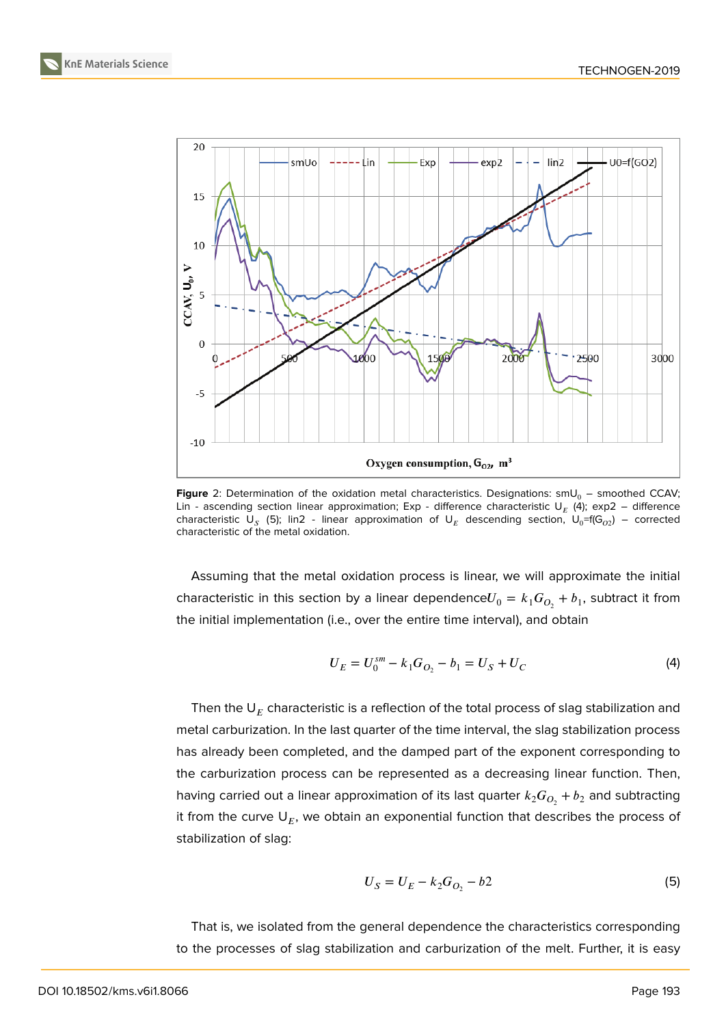



**Figure** 2: Determination of the oxidation metal characteristics. Designations:  $smU_0$  – smoothed CCAV; Lin - ascending section linear approximation; Exp - difference characteristic  $\mathsf{U}_E$  (4); exp2 – difference characteristic U<sub>S</sub> (5); lin2 - linear approximation of U<sub>E</sub> descending section, U<sub>0</sub>=f(G<sub>02</sub>) – corrected characteristic of the metal oxidation.

Assuming that the metal oxidation process is linear, we will approximate the initial characteristic in this section by a linear dependence $U_0 = k_1 G_{O_2} + b_1$ , subtract it from the initial implementation (i.e., over the entire time interval), and obtain

$$
U_E = U_0^{sm} - k_1 G_{O_2} - b_1 = U_S + U_C \tag{4}
$$

Then the  $\mathsf{U}_E$  characteristic is a reflection of the total process of slag stabilization and metal carburization. In the last quarter of the time interval, the slag stabilization process has already been completed, and the damped part of the exponent corresponding to the carburization process can be represented as a decreasing linear function. Then, having carried out a linear approximation of its last quarter  $k_2 G_{O_2}^{} + b_2^{}$  and subtracting it from the curve  $\mathsf{U}_E$ , we obtain an exponential function that describes the process of stabilization of slag:

$$
U_S = U_E - k_2 G_{O_2} - b^2 \tag{5}
$$

That is, we isolated from the general dependence the characteristics corresponding to the processes of slag stabilization and carburization of the melt. Further, it is easy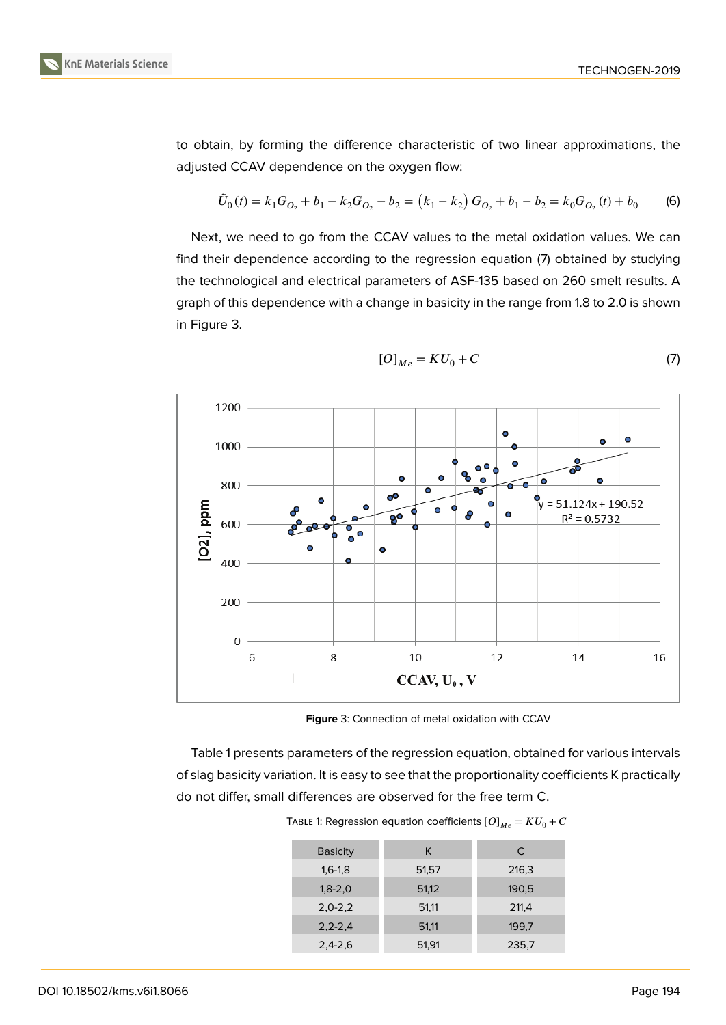to obtain, by forming the difference characteristic of two linear approximations, the adjusted CCAV dependence on the oxygen flow:

$$
\tilde{U}_0(t) = k_1 G_{O_2} + b_1 - k_2 G_{O_2} - b_2 = (k_1 - k_2) G_{O_2} + b_1 - b_2 = k_0 G_{O_2}(t) + b_0
$$
 (6)

Next, we need to go from the CCAV values to the metal oxidation values. We can find their dependence according to the regression equation (7) obtained by studying the technological and electrical parameters of ASF-135 based on 260 smelt results. A graph of this dependence with a change in basicity in the range from 1.8 to 2.0 is shown in Figure 3.



$$
[O]_{Me} = KU_0 + C \tag{7}
$$

**Figure** 3: Connection of metal oxidation with CCAV

Table 1 presents parameters of the regression equation, obtained for various intervals of slag basicity variation. It is easy to see that the proportionality coefficients K practically do not differ, small differences are observed for the free term C.

| <b>Basicity</b> | K     | C     |
|-----------------|-------|-------|
| $1,6-1,8$       | 51,57 | 216,3 |
| $1,8-2,0$       | 51,12 | 190,5 |
| $2,0-2,2$       | 51,11 | 211,4 |
| $2, 2 - 2, 4$   | 51,11 | 199,7 |
| $2,4-2,6$       | 51,91 | 235,7 |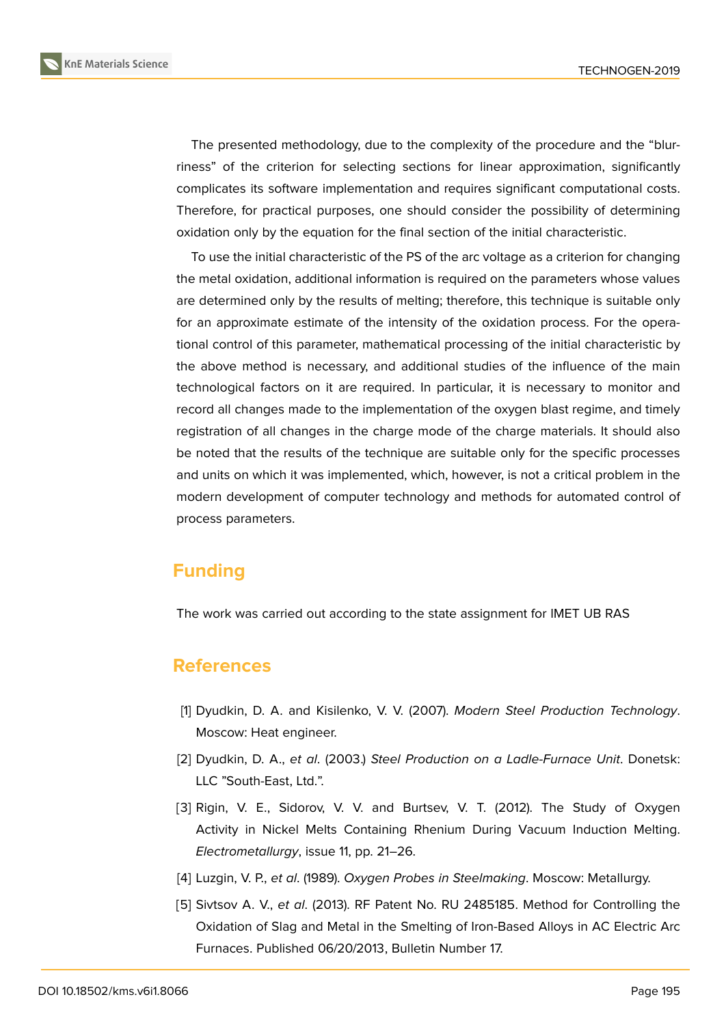

The presented methodology, due to the complexity of the procedure and the "blurriness" of the criterion for selecting sections for linear approximation, significantly complicates its software implementation and requires significant computational costs. Therefore, for practical purposes, one should consider the possibility of determining oxidation only by the equation for the final section of the initial characteristic.

To use the initial characteristic of the PS of the arc voltage as a criterion for changing the metal oxidation, additional information is required on the parameters whose values are determined only by the results of melting; therefore, this technique is suitable only for an approximate estimate of the intensity of the oxidation process. For the operational control of this parameter, mathematical processing of the initial characteristic by the above method is necessary, and additional studies of the influence of the main technological factors on it are required. In particular, it is necessary to monitor and record all changes made to the implementation of the oxygen blast regime, and timely registration of all changes in the charge mode of the charge materials. It should also be noted that the results of the technique are suitable only for the specific processes and units on which it was implemented, which, however, is not a critical problem in the modern development of computer technology and methods for automated control of process parameters.

# **Funding**

The work was carried out according to the state assignment for IMET UB RAS

## **References**

- [1] Dyudkin, D. A. and Kisilenko, V. V. (2007). *Modern Steel Production Technology*. Moscow: Heat engineer.
- [2] Dyudkin, D. A., *et al*. (2003.) *Steel Production on a Ladle-Furnace Unit*. Donetsk: LLC "South-East, Ltd.".
- <span id="page-5-0"></span>[3] Rigin, V. E., Sidorov, V. V. and Burtsev, V. T. (2012). The Study of Oxygen Activity in Nickel Melts Containing Rhenium During Vacuum Induction Melting. *Electrometallurgy*, issue 11, pp. 21–26.
- <span id="page-5-1"></span>[4] Luzgin, V. P., *et al*. (1989). *Oxygen Probes in Steelmaking*. Moscow: Metallurgy.
- [5] Sivtsov A. V., *et al*. (2013). RF Patent No. RU 2485185. Method for Controlling the Oxidation of Slag and Metal in the Smelting of Iron-Based Alloys in AC Electric Arc Furnaces. Published 06/20/2013, Bulletin Number 17.